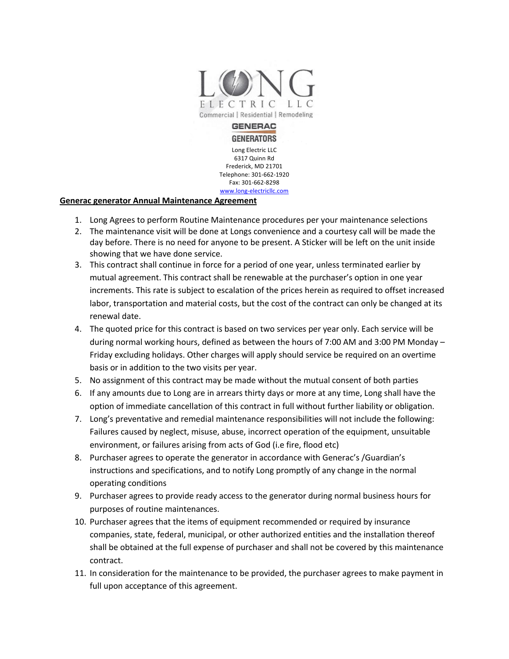

#### **GENERAC GENERATORS**

Long Electric LLC 6317 Quinn Rd Frederick, MD 21701 Telephone: 301-662-1920 Fax: 301-662-8298 www.long-electricllc.com

### **Generac generator Annual Maintenance Agreement**

- 1. Long Agrees to perform Routine Maintenance procedures per your maintenance selections
- 2. The maintenance visit will be done at Longs convenience and a courtesy call will be made the day before. There is no need for anyone to be present. A Sticker will be left on the unit inside showing that we have done service.
- 3. This contract shall continue in force for a period of one year, unless terminated earlier by mutual agreement. This contract shall be renewable at the purchaser's option in one year increments. This rate is subject to escalation of the prices herein as required to offset increased labor, transportation and material costs, but the cost of the contract can only be changed at its renewal date.
- 4. The quoted price for this contract is based on two services per year only. Each service will be during normal working hours, defined as between the hours of 7:00 AM and 3:00 PM Monday – Friday excluding holidays. Other charges will apply should service be required on an overtime basis or in addition to the two visits per year.
- 5. No assignment of this contract may be made without the mutual consent of both parties
- 6. If any amounts due to Long are in arrears thirty days or more at any time, Long shall have the option of immediate cancellation of this contract in full without further liability or obligation.
- 7. Long's preventative and remedial maintenance responsibilities will not include the following: Failures caused by neglect, misuse, abuse, incorrect operation of the equipment, unsuitable environment, or failures arising from acts of God (i.e fire, flood etc)
- 8. Purchaser agrees to operate the generator in accordance with Generac's /Guardian's instructions and specifications, and to notify Long promptly of any change in the normal operating conditions
- 9. Purchaser agrees to provide ready access to the generator during normal business hours for purposes of routine maintenances.
- 10. Purchaser agrees that the items of equipment recommended or required by insurance companies, state, federal, municipal, or other authorized entities and the installation thereof shall be obtained at the full expense of purchaser and shall not be covered by this maintenance contract.
- 11. In consideration for the maintenance to be provided, the purchaser agrees to make payment in full upon acceptance of this agreement.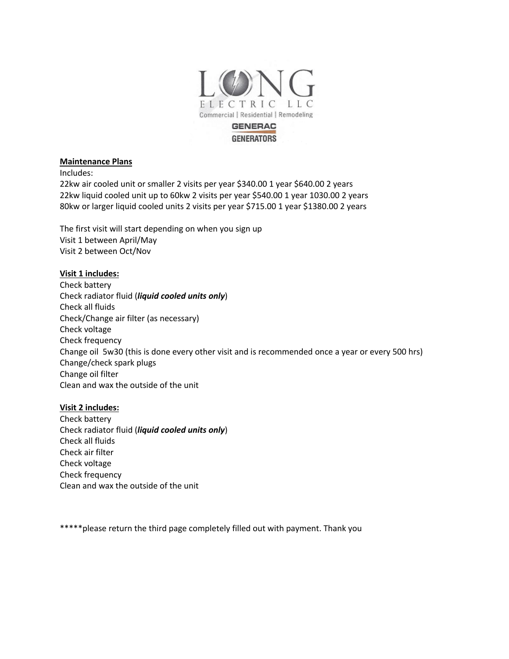

# **GENERATORS**

#### **Maintenance Plans**

Includes:

22kw air cooled unit or smaller 2 visits per year \$340.00 1 year \$640.00 2 years 22kw liquid cooled unit up to 60kw 2 visits per year \$540.00 1 year 1030.00 2 years 80kw or larger liquid cooled units 2 visits per year \$715.00 1 year \$1380.00 2 years

The first visit will start depending on when you sign up Visit 1 between April/May Visit 2 between Oct/Nov

## **Visit 1 includes:**

Check battery Check radiator fluid (*liquid cooled units only*) Check all fluids Check/Change air filter (as necessary) Check voltage Check frequency Change oil 5w30 (this is done every other visit and is recommended once a year or every 500 hrs) Change/check spark plugs Change oil filter Clean and wax the outside of the unit

## **Visit 2 includes:**

Check battery Check radiator fluid (*liquid cooled units only*) Check all fluids Check air filter Check voltage Check frequency Clean and wax the outside of the unit

\*\*\*\*\* please return the third page completely filled out with payment. Thank you